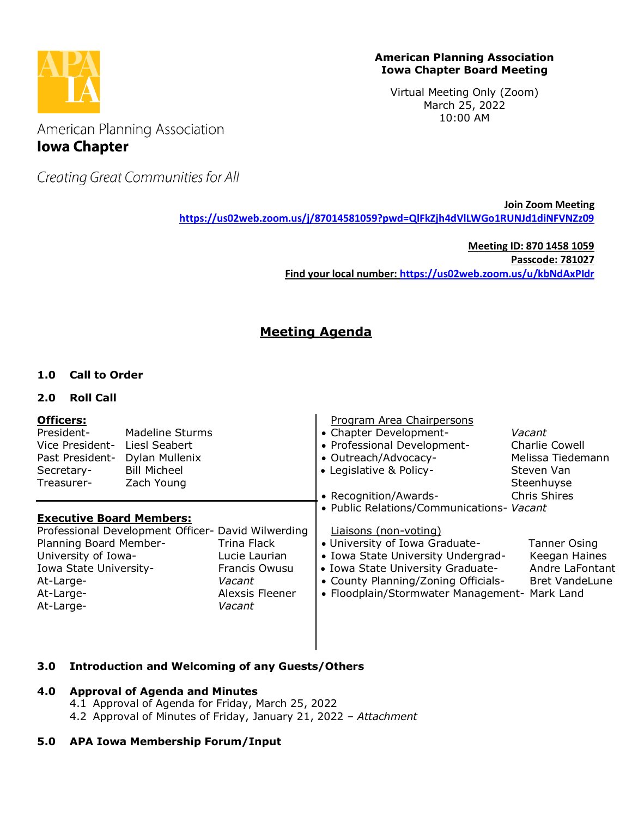

#### **American Planning Association Iowa Chapter Board Meeting**

Virtual Meeting Only (Zoom) March 25, 2022 10:00 AM

American Planning Association **Iowa Chapter** 

Creating Great Communities for All

**Join Zoom Meeting <https://us02web.zoom.us/j/87014581059?pwd=QlFkZjh4dVlLWGo1RUNJd1diNFVNZz09>**

> **Meeting ID: 870 1458 1059 Passcode: 781027 Find your local number:<https://us02web.zoom.us/u/kbNdAxPIdr>**

# **Meeting Agenda**

# **1.0 Call to Order**

## **2.0 Roll Call**

| <b>Officers:</b><br>President-<br>Vice President-<br>Past President-<br>Secretary-<br>Treasurer-                                                                                                                            | Madeline Sturms<br>Liesl Seabert<br>Dylan Mullenix<br><b>Bill Micheel</b><br>Zach Young |                                                                  | Program Area Chairpersons<br>• Chapter Development-<br>• Professional Development-<br>• Outreach/Advocacy-<br>• Legislative & Policy-<br>• Recognition/Awards-                                                                                                          | Vacant<br>Charlie Cowell<br>Melissa Tiedemann<br>Steven Van<br>Steenhuyse<br><b>Chris Shires</b> |
|-----------------------------------------------------------------------------------------------------------------------------------------------------------------------------------------------------------------------------|-----------------------------------------------------------------------------------------|------------------------------------------------------------------|-------------------------------------------------------------------------------------------------------------------------------------------------------------------------------------------------------------------------------------------------------------------------|--------------------------------------------------------------------------------------------------|
| <b>Executive Board Members:</b><br>Professional Development Officer- David Wilwerding<br>Planning Board Member-<br>University of Iowa-<br>Iowa State University-<br>At-Large-<br>Vacant<br>At-Large-<br>At-Large-<br>Vacant |                                                                                         | Trina Flack<br>Lucie Laurian<br>Francis Owusu<br>Alexsis Fleener | • Public Relations/Communications- Vacant<br>Liaisons (non-voting)<br>• University of Iowa Graduate-<br>• Iowa State University Undergrad-<br>• Iowa State University Graduate-<br>• County Planning/Zoning Officials-<br>• Floodplain/Stormwater Management- Mark Land | Tanner Osing<br>Keegan Haines<br>Andre LaFontant<br><b>Bret VandeLune</b>                        |

## **3.0 Introduction and Welcoming of any Guests/Others**

## **4.0 Approval of Agenda and Minutes**

- 4.1 Approval of Agenda for Friday, March 25, 2022
- 4.2 Approval of Minutes of Friday, January 21, 2022 *– Attachment*

## **5.0 APA Iowa Membership Forum/Input**